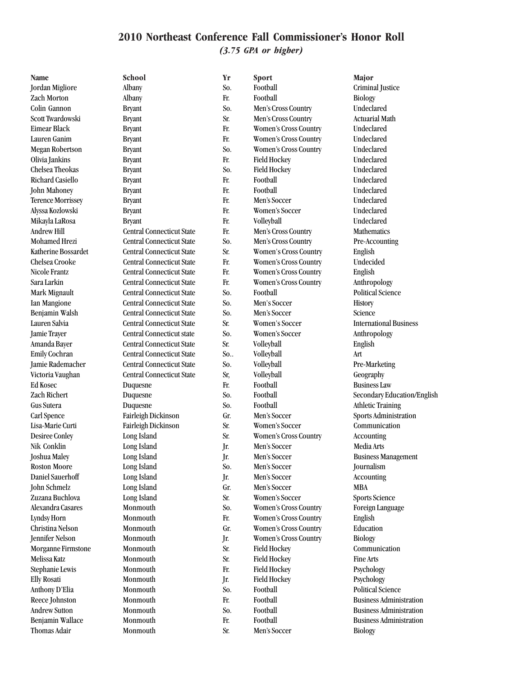#### **2010 Northeast Conference Fall Commissioner's Honor Roll** *(3.75 GPA or higher)*

Thomas Adair Monmouth Sr. Men's Soccer Biology

**Name School Yr Sport Major** Jordan Migliore Albany So. Football Criminal Justice Zach Morton Albany Fr. Football Biology Colin Gannon Bryant So. Men's Cross Country Undeclared Scott Twardowski Bryant Sr. Men's Cross Country Actuarial Math Eimear Black Bryant Fr. Women's Cross Country Undeclared Lauren Ganim Bryant Fr. Women's Cross Country Undeclared Megan Robertson Bryant Bryant So. Women's Cross Country Undeclared<br>
Olivia Iankins Bryant Bryant Fr. Field Hockey Undeclared Olivia Jankins Bryant Fr. Field Hockey Undeclared Chelsea Theokas Bryant So. Field Hockey Undeclared Richard Casiello Bryant Fr. Football Undeclared John Mahoney Bryant Fr. Football Undeclared Terence Morrissey Bryant Fr. Men's Soccer Undeclared Alyssa Kozlowski Bryant Fr. Women's Soccer Undeclared Mikayla LaRosa Bryant Fr. Volleyball Undeclared Andrew Hill Central Connecticut State Fr. Men's Cross Country Mathematics Mohamed Hrezi Central Connecticut State So. Men's Cross Country Pre-Accounting Katherine Bossardet Central Connecticut State Sr. Women's Cross Country English Chelsea Crooke Central Connecticut State Fr. Women's Cross Country Undecided Nicole Frantz Central Connecticut State Fr. Women's Cross Country English Sara Larkin Central Connecticut State Fr. Women's Cross Country Anthropology Mark Mignault Central Connecticut State So. Football Political Science Ian Mangione Central Connecticut State So. Men's Soccer History Benjamin Walsh Central Connecticut State So. Men's Soccer Science Lauren Salvia Central Connecticut State Sr. Women's Soccer International Business Jamie Trayer Central Connecticut state So. Women's Soccer Anthropology Amanda Bayer Central Connecticut State Sr. Volleyball English Emily Cochran Central Connecticut State So.. Volleyball Art Jamie Rademacher Central Connecticut State So. Volleyball Pre-Marketing Victoria Vaughan Central Connecticut State Sr, Volleyball Geography Ed Kosec Duquesne Fr. Football Business Law Zach Richert Duquesne So. Football Secondary Education/English Gus Sutera Duquesne So. Football Athletic Training Carl Spence Fairleigh Dickinson Gr. Men's Soccer Sports Administration Lisa-Marie Curti Fairleigh Dickinson Sr. Women's Soccer Communication Desiree Conley Long Island Sr. Women's Cross Country Accounting Nik Conklin Long Island Jr. Men's Soccer Media Arts Joshua Maley Long Island Jr. Men's Soccer Business Management Roston Moore Long Island So. Men's Soccer Journalism Daniel Sauerhoff Long Island Jr. Men's Soccer Accounting John Schmelz Long Island Gr. Men's Soccer MBA Zuzana Buchlova Long Island Sr. Women's Soccer Sports Science Alexandra Casares Monmouth So. Women's Cross Country Foreign Language Lyndsy Horn Monmouth Fr. Women's Cross Country English Christina Nelson Monmouth Gr. Women's Cross Country Education Jennifer Nelson Monmouth Jr. Women's Cross Country Biology Morganne Firmstone Monmouth Sr. Field Hockey Communication Melissa Katz Monmouth Sr. Field Hockey Fine Arts Stephanie Lewis Monmouth Fr. Field Hockey Psychology Elly Rosati Monmouth Jr. Field Hockey Psychology Anthony D'Elia Monmouth So. Football Political Science Reece Johnston Monmouth Fr. Football Business Administration Andrew Sutton Monmouth So. Football Business Administration Benjamin Wallace Monmouth Fr. Football Business Administration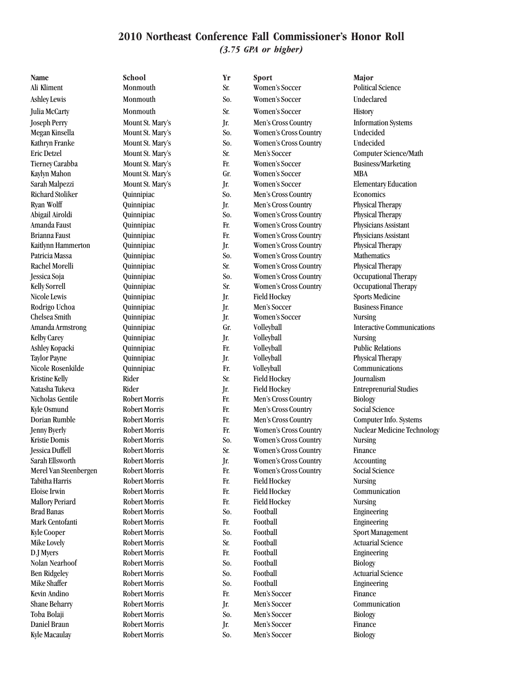#### **2010 Northeast Conference Fall Commissioner's Honor Roll** *(3.75 GPA or higher)*

| <b>Name</b>            | School               | Yr  | Sport                        | Major                             |
|------------------------|----------------------|-----|------------------------------|-----------------------------------|
| Ali Kliment            | Monmouth             | Sr. | Women's Soccer               | <b>Political Science</b>          |
| <b>Ashley Lewis</b>    | Monmouth             | So. | <b>Women's Soccer</b>        | Undeclared                        |
| Julia McCarty          | Monmouth             | Sr. | Women's Soccer               | <b>History</b>                    |
| <b>Joseph Perry</b>    | Mount St. Mary's     | Jr. | Men's Cross Country          | <b>Information Systems</b>        |
| Megan Kinsella         | Mount St. Mary's     | So. | <b>Women's Cross Country</b> | Undecided                         |
| Kathryn Franke         | Mount St. Mary's     | So. | Women's Cross Country        | Undecided                         |
| <b>Eric Detzel</b>     | Mount St. Mary's     | Sr. | Men's Soccer                 | Computer Science/Math             |
| Tierney Carabba        | Mount St. Mary's     | Fr. | Women's Soccer               | <b>Business/Marketing</b>         |
| Kaylyn Mahon           | Mount St. Mary's     | Gr. | Women's Soccer               | <b>MBA</b>                        |
| Sarah Malpezzi         | Mount St. Mary's     | Jr. | Women's Soccer               | <b>Elementary Education</b>       |
| Richard Stoliker       | Quinnipiac           | So. | Men's Cross Country          | Economics                         |
| Ryan Wolff             | Quinnipiac           | Jr. | Men's Cross Country          | Physical Therapy                  |
| Abigail Airoldi        | Quinnipiac           | So. | Women's Cross Country        | Physical Therapy                  |
| Amanda Faust           | Quinnipiac           | Fr. | Women's Cross Country        | Physicians Assistant              |
| <b>Brianna Faust</b>   | Quinnipiac           | Fr. | Women's Cross Country        | Physicians Assistant              |
| Kaitlynn Hammerton     | Quinnipiac           | Jr. | Women's Cross Country        | Physical Therapy                  |
| Patricia Massa         | Quinnipiac           | So. | Women's Cross Country        | <b>Mathematics</b>                |
| Rachel Morelli         | Quinnipiac           | Sr. | Women's Cross Country        | Physical Therapy                  |
| Jessica Soja           | Quinnipiac           | So. | <b>Women's Cross Country</b> | Occupational Therapy              |
| <b>Kelly Sorrell</b>   | Quinnipiac           | Sr. | Women's Cross Country        | Occupational Therapy              |
| Nicole Lewis           | Quinnipiac           | Jr. | <b>Field Hockey</b>          | <b>Sports Medicine</b>            |
| Rodrigo Uchoa          | Quinnipiac           | Jr. | Men's Soccer                 | <b>Business Finance</b>           |
| Chelsea Smith          | Quinnipiac           | Jr. | Women's Soccer               | <b>Nursing</b>                    |
| Amanda Armstrong       | Quinnipiac           | Gr. | Volleyball                   | <b>Interactive Communications</b> |
| <b>Kelby Carey</b>     | Quinnipiac           | Jr. | Volleyball                   | <b>Nursing</b>                    |
| Ashley Kopacki         | Quinnipiac           | Fr. | Volleyball                   | <b>Public Relations</b>           |
| <b>Taylor Payne</b>    | Quinnipiac           | Jr. | Volleyball                   | Physical Therapy                  |
| Nicole Rosenkilde      | Quinnipiac           | Fr. | Volleyball                   | Communications                    |
| <b>Kristine Kelly</b>  | Rider                | Sr. | <b>Field Hockey</b>          | Journalism                        |
| Natasha Tukeva         | Rider                | Jr. | <b>Field Hockey</b>          | <b>Entreprenurial Studies</b>     |
| Nicholas Gentile       | <b>Robert Morris</b> | Fr. | Men's Cross Country          | <b>Biology</b>                    |
| Kyle Osmund            | <b>Robert Morris</b> | Fr. | Men's Cross Country          | Social Science                    |
| Dorian Rumble          | Robert Morris        | Fr. | Men's Cross Country          | Computer Info. Systems            |
| <b>Jenny Byerly</b>    | <b>Robert Morris</b> | Fr. | Women's Cross Country        | Nuclear Medicine Technology       |
| <b>Kristie Domis</b>   | <b>Robert Morris</b> | So. | Women's Cross Country        | <b>Nursing</b>                    |
| Jessica Duffell        | <b>Robert Morris</b> | Sr. | Women's Cross Country        | Finance                           |
| Sarah Ellsworth        | Robert Morris        | Jr. | Women's Cross Country        | Accounting                        |
| Merel Van Steenbergen  | <b>Robert Morris</b> | Fr. | Women's Cross Country        | Social Science                    |
| Tabitha Harris         | <b>Robert Morris</b> | Fr. | <b>Field Hockey</b>          | <b>Nursing</b>                    |
| <b>Eloise Irwin</b>    | <b>Robert Morris</b> | Fr. | <b>Field Hockey</b>          | Communication                     |
| <b>Mallory Periard</b> | <b>Robert Morris</b> | Fr. | <b>Field Hockey</b>          | <b>Nursing</b>                    |
| <b>Brad Banas</b>      | <b>Robert Morris</b> | So. | Football                     | Engineering                       |
| Mark Centofanti        | <b>Robert Morris</b> | Fr. | Football                     | Engineering                       |
| <b>Kyle Cooper</b>     | <b>Robert Morris</b> | So. | Football                     | Sport Management                  |
| Mike Lovely            | <b>Robert Morris</b> | Sr. | Football                     | <b>Actuarial Science</b>          |
| D.J Myers              | <b>Robert Morris</b> | Fr. | Football                     | Engineering                       |
| Nolan Nearhoof         | <b>Robert Morris</b> | So. | Football                     | <b>Biology</b>                    |
| <b>Ben Ridgeley</b>    | <b>Robert Morris</b> | So. | Football                     | <b>Actuarial Science</b>          |
| Mike Shaffer           | <b>Robert Morris</b> | So. | Football                     | Engineering                       |
| Kevin Andino           | <b>Robert Morris</b> | Fr. | Men's Soccer                 | Finance                           |
| Shane Beharry          | Robert Morris        | Jr. | Men's Soccer                 | Communication                     |
| Toba Bolaji            | <b>Robert Morris</b> | So. | Men's Soccer                 | <b>Biology</b>                    |
| Daniel Braun           | <b>Robert Morris</b> | Jr. | Men's Soccer                 | Finance                           |
| Kyle Macaulay          | Robert Morris        | So. | Men's Soccer                 | <b>Biology</b>                    |
|                        |                      |     |                              |                                   |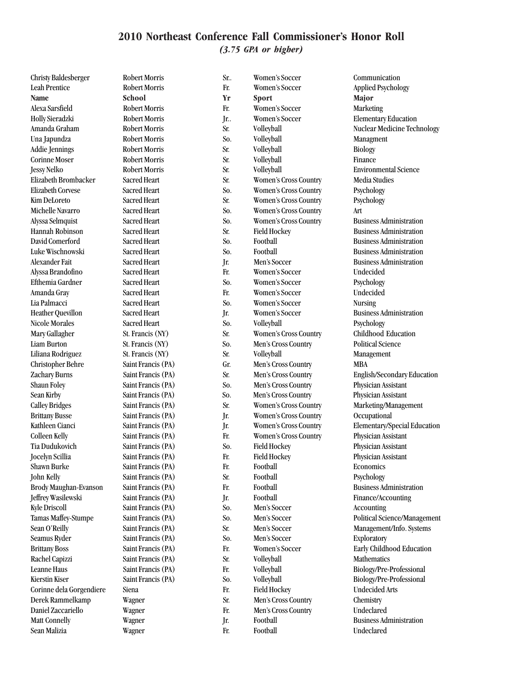*(3.75 GPA or higher)*

| Christy Baldesberger     | <b>Robert Morris</b> | Sr. | Women's Soccer               | Communication                      |
|--------------------------|----------------------|-----|------------------------------|------------------------------------|
| <b>Leah Prentice</b>     | Robert Morris        | Fr. | Women's Soccer               | <b>Applied Psychology</b>          |
| <b>Name</b>              | <b>School</b>        | Yr  | <b>Sport</b>                 | Major                              |
| Alexa Sarsfield          | <b>Robert Morris</b> | Fr. | Women's Soccer               | Marketing                          |
| Holly Sieradzki          | <b>Robert Morris</b> | Jr  | Women's Soccer               | <b>Elementary Education</b>        |
| Amanda Graham            | Robert Morris        | Sr. | Volleyball                   | <b>Nuclear Medicine Technology</b> |
| Una Japundza             | <b>Robert Morris</b> | So. | Volleyball                   | Managment                          |
| <b>Addie Jennings</b>    | Robert Morris        | Sr. | Volleyball                   | <b>Biology</b>                     |
| <b>Corinne Moser</b>     | <b>Robert Morris</b> | Sr. | Volleyball                   | Finance                            |
| <b>Jessy Nelko</b>       | <b>Robert Morris</b> | Sr. | Volleyball                   | <b>Environmental Science</b>       |
| Elizabeth Brombacker     | Sacred Heart         | Sr. | Women's Cross Country        | Media Studies                      |
| <b>Elizabeth Corvese</b> | Sacred Heart         | So. | Women's Cross Country        | Psychology                         |
| Kim DeLoreto             | Sacred Heart         | Sr. | Women's Cross Country        | Psychology                         |
| Michelle Navarro         | Sacred Heart         | So. | Women's Cross Country        | Art                                |
| Alyssa Selmquist         | Sacred Heart         | So. | Women's Cross Country        | <b>Business Administration</b>     |
| Hannah Robinson          | Sacred Heart         | Sr. | <b>Field Hockey</b>          | <b>Business Administration</b>     |
| David Comerford          | Sacred Heart         | So. | Football                     | <b>Business Administration</b>     |
| Luke Wischnowski         | Sacred Heart         | So. | Football                     | <b>Business Administration</b>     |
| Alexander Fait           | Sacred Heart         | Jr. | Men's Soccer                 | <b>Business Administration</b>     |
| Alyssa Brandofino        | Sacred Heart         | Fr. | Women's Soccer               | Undecided                          |
| Efthemia Gardner         | Sacred Heart         | So. | Women's Soccer               | Psychology                         |
| Amanda Gray              | Sacred Heart         | Fr. | Women's Soccer               | Undecided                          |
| Lia Palmacci             | Sacred Heart         | So. | Women's Soccer               | <b>Nursing</b>                     |
| <b>Heather Quevillon</b> | Sacred Heart         | Jr. | Women's Soccer               | <b>Business Administration</b>     |
| Nicole Morales           | <b>Sacred Heart</b>  | So. | Volleyball                   | Psychology                         |
| Mary Gallagher           | St. Francis (NY)     | Sr. | Women's Cross Country        | Childhood Education                |
| Liam Burton              | St. Francis (NY)     | So. | Men's Cross Country          | <b>Political Science</b>           |
| Liliana Rodriguez        | St. Francis (NY)     | Sr. | Volleyball                   | Management                         |
| <b>Christopher Behre</b> | Saint Francis (PA)   | Gr. | Men's Cross Country          | <b>MBA</b>                         |
| Zachary Burns            | Saint Francis (PA)   | Sr. | Men's Cross Country          | English/Secondary Education        |
| Shaun Foley              | Saint Francis (PA)   | So. | Men's Cross Country          | Physician Assistant                |
| Sean Kirby               | Saint Francis (PA)   | So. | Men's Cross Country          | Physician Assistant                |
| <b>Calley Bridges</b>    | Saint Francis (PA)   | Sr. | Women's Cross Country        | Marketing/Management               |
| <b>Brittany Busse</b>    | Saint Francis (PA)   | Jr. | Women's Cross Country        | Occupational                       |
| Kathleen Cianci          | Saint Francis (PA)   | Jr. | Women's Cross Country        | Elementary/Special Education       |
| <b>Colleen Kelly</b>     | Saint Francis (PA)   | Fr. | <b>Women's Cross Country</b> | Physician Assistant                |
| Tia Dudukovich           | Saint Francis (PA)   | So. | <b>Field Hockey</b>          | Physician Assistant                |
|                          |                      |     |                              |                                    |
| Jocelyn Scillia          | Saint Francis (PA)   | Fr. | <b>Field Hockey</b>          | Physician Assistant                |
| Shawn Burke              | Saint Francis (PA)   | Fr. | Football                     | Economics                          |
| John Kelly               | Saint Francis (PA)   | Sr. | Football                     | Psychology                         |
| Brody Maughan-Evanson    | Saint Francis (PA)   | Fr. | Football                     | <b>Business Administration</b>     |
| Jeffrey Wasilewski       | Saint Francis (PA)   | Jr. | Football                     | Finance/Accounting                 |
| <b>Kyle Driscoll</b>     | Saint Francis (PA)   | So. | Men's Soccer                 | Accounting                         |
| Tamas Maffey-Stumpe      | Saint Francis (PA)   | So. | Men's Soccer                 | Political Science/Management       |
| Sean O'Reilly            | Saint Francis (PA)   | Sr. | Men's Soccer                 | Management/Info. Systems           |
| Seamus Ryder             | Saint Francis (PA)   | So. | Men's Soccer                 | Exploratory                        |
| <b>Brittany Boss</b>     | Saint Francis (PA)   | Fr. | Women's Soccer               | Early Childhood Education          |
| Rachel Capizzi           | Saint Francis (PA)   | Sr. | Volleyball                   | Mathematics                        |
| Leanne Haus              | Saint Francis (PA)   | Fr. | Volleyball                   | Biology/Pre-Professional           |
| <b>Kierstin Kiser</b>    | Saint Francis (PA)   | So. | Volleyball                   | Biology/Pre-Professional           |
| Corinne dela Gorgendiere | Siena                | Fr. | <b>Field Hockey</b>          | <b>Undecided Arts</b>              |
| Derek Rammelkamp         | Wagner               | Sr. | Men's Cross Country          | Chemistry                          |
| Daniel Zaccariello       | Wagner               | Fr. | Men's Cross Country          | Undeclared                         |
| <b>Matt Connelly</b>     | Wagner               | Jr. | Football                     | <b>Business Administration</b>     |
| Sean Malizia             | Wagner               | Fr. | Football                     | Undeclared                         |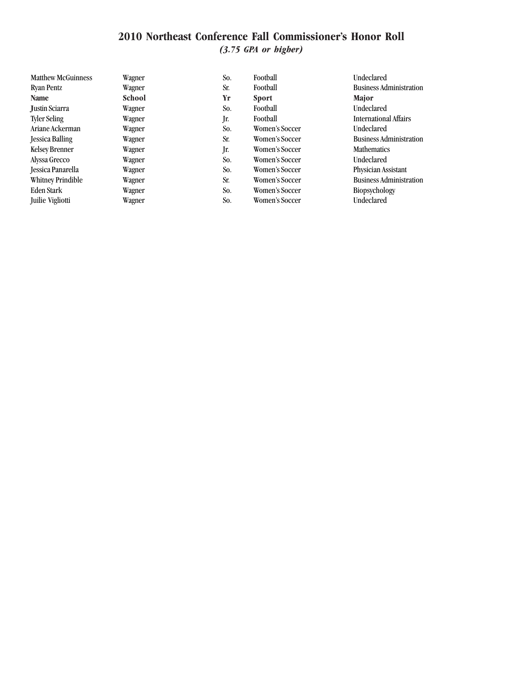*(3.75 GPA or higher)*

| <b>Matthew McGuinness</b> | Wagner        | So. | Football       | Undeclared                     |
|---------------------------|---------------|-----|----------------|--------------------------------|
| Ryan Pentz                | Wagner        | Sr. | Football       | <b>Business Administration</b> |
| <b>Name</b>               | <b>School</b> | Yr  | <b>Sport</b>   | <b>Major</b>                   |
| <b>Justin Sciarra</b>     | Wagner        | So. | Football       | <b>Undeclared</b>              |
| <b>Tyler Seling</b>       | Wagner        | Jr. | Football       | <b>International Affairs</b>   |
| Ariane Ackerman           | Wagner        | So. | Women's Soccer | Undeclared                     |
| <b>Jessica Balling</b>    | Wagner        | Sr. | Women's Soccer | <b>Business Administration</b> |
| <b>Kelsey Brenner</b>     | Wagner        | Jr. | Women's Soccer | <b>Mathematics</b>             |
| Alyssa Grecco             | Wagner        | So. | Women's Soccer | <b>Undeclared</b>              |
| Jessica Panarella         | Wagner        | So. | Women's Soccer | Physician Assistant            |
| <b>Whitney Prindible</b>  | Wagner        | Sr. | Women's Soccer | <b>Business Administration</b> |
| Eden Stark                | Wagner        | So. | Women's Soccer | <b>Biopsychology</b>           |
| Juilie Vigliotti          | Wagner        | So. | Women's Soccer | Undeclared                     |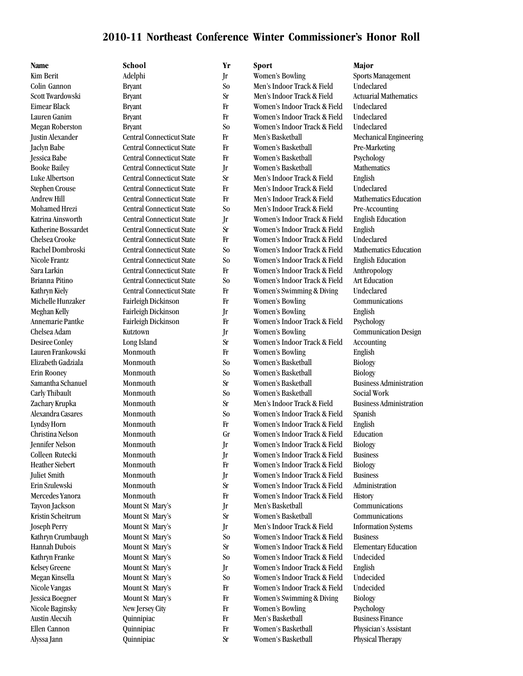### **2010-11 Northeast Conference Winter Commissioner's Honor Roll**

| Name                    | School                           |
|-------------------------|----------------------------------|
| <b>Kim Berit</b>        | Adelphi                          |
| Colin Gannon            | <b>Bryant</b>                    |
| Scott Twardowski        | <b>Bryant</b>                    |
| Eimear Black            | <b>Bryant</b>                    |
| Lauren Ganim            | <b>Bryant</b>                    |
| <b>Megan Roberston</b>  | <b>Bryant</b>                    |
| <b>Justin Alexander</b> | <b>Central Connecticut State</b> |
| <b>Jaclyn Babe</b>      | <b>Central Connecticut State</b> |
| Jessica Babe            | <b>Central Connecticut State</b> |
| <b>Booke Bailey</b>     | <b>Central Connecticut State</b> |
| Luke Albertson          | <b>Central Connecticut State</b> |
| <b>Stephen Crouse</b>   | <b>Central Connecticut State</b> |
| <b>Andrew Hill</b>      | <b>Central Connecticut State</b> |
| Mohamed Hrezi           | <b>Central Connecticut State</b> |
| Katrina Ainsworth       | <b>Central Connecticut State</b> |
| Katherine Bossardet     | <b>Central Connecticut State</b> |
| Chelsea Crooke          | <b>Central Connecticut State</b> |
| Rachel Dombroski        | <b>Central Connecticut State</b> |
| Nicole Frantz           | <b>Central Connecticut State</b> |
| Sara Larkin             | <b>Central Connecticut State</b> |
| <b>Brianna Pitino</b>   | <b>Central Connecticut State</b> |
| Kathryn Kiely           | <b>Central Connecticut State</b> |
| Michelle Hunzaker       | Fairleigh Dickinson              |
| Meghan Kelly            | Fairleigh Dickinson              |
| Annemarie Pantke        | Fairleigh Dickinson              |
| Chelsea Adam            | Kutztown                         |
| <b>Desiree Conley</b>   | Long Island                      |
| Lauren Frankowski       | Monmouth                         |
| Elizabeth Gadziala      | Monmouth                         |
| <b>Erin Rooney</b>      | Monmouth                         |
| Samantha Schanuel       | Monmouth                         |
| Carly Thibault          | Monmouth                         |
| Zachary Krupka          | Monmouth                         |
| Alexandra Casares       | Monmouth                         |
| <b>Lyndsy Horn</b>      | Monmouth                         |
| Christina Nelson        | Monmouth                         |
| Jennifer Nelson         | Monmouth                         |
| Colleen Rutecki         | Monmouth                         |
| Heather Siebert         | Monmouth                         |
| <b>Juliet Smith</b>     | Monmouth                         |
| Erin Szulewski          | Monmouth                         |
| Mercedes Yanora         | Monmouth                         |
| Tayvon Jackson          | Mount St Mary's                  |
| Kristin Scheitrum       | Mount St Mary's                  |
| <b>Joseph Perry</b>     | Mount St Mary's                  |
| Kathryn Crumbaugh       | Mount St Mary's                  |
| Hannah Dubois           | Mount St Mary's                  |
| Kathryn Franke          | Mount St Mary's                  |
| <b>Kelsey Greene</b>    | Mount St Mary's                  |
| Megan Kinsella          | Mount St Mary's                  |
| Nicole Vangas           | Mount St Mary's                  |
| Jessica Boegner         | Mount St Mary's                  |
| Nicole Baginsky         | New Jersey City                  |
| <b>Austin Alecxih</b>   | Quinnipiac                       |
| Ellen Cannon            | Quinnipiac                       |
| Alvssa Iann             | <b>Ouinnipiac</b>                |

| Name                    | School                           | Yr             | Sport                        | Major                          |
|-------------------------|----------------------------------|----------------|------------------------------|--------------------------------|
| <b>Kim Berit</b>        | Adelphi                          | Jr             | Women's Bowling              | <b>Sports Management</b>       |
| Colin Gannon            | <b>Bryant</b>                    | So             | Men's Indoor Track & Field   | Undeclared                     |
| Scott Twardowski        | <b>Bryant</b>                    | <b>Sr</b>      | Men's Indoor Track & Field   | <b>Actuarial Mathematics</b>   |
| Eimear Black            | <b>Bryant</b>                    | Fr             | Women's Indoor Track & Field | Undeclared                     |
| Lauren Ganim            | <b>Bryant</b>                    | Fr             | Women's Indoor Track & Field | Undeclared                     |
| <b>Megan Roberston</b>  | <b>Bryant</b>                    | So             | Women's Indoor Track & Field | Undeclared                     |
| <b>Justin Alexander</b> | <b>Central Connecticut State</b> | Fr             | Men's Basketball             | Mechanical Engineering         |
| <b>Jaclyn Babe</b>      | <b>Central Connecticut State</b> | Fr             | Women's Basketball           | Pre-Marketing                  |
| Jessica Babe            | <b>Central Connecticut State</b> | Fr             | Women's Basketball           | Psychology                     |
| <b>Booke Bailey</b>     | <b>Central Connecticut State</b> | Jr             | Women's Basketball           | Mathematics                    |
| Luke Albertson          | <b>Central Connecticut State</b> | <b>Sr</b>      | Men's Indoor Track & Field   | English                        |
| <b>Stephen Crouse</b>   | <b>Central Connecticut State</b> | Fr             | Men's Indoor Track & Field   | Undeclared                     |
| Andrew Hill             | <b>Central Connecticut State</b> | Fr             | Men's Indoor Track & Field   | <b>Mathematics Education</b>   |
| Mohamed Hrezi           | <b>Central Connecticut State</b> | So             | Men's Indoor Track & Field   | Pre-Accounting                 |
| Katrina Ainsworth       | <b>Central Connecticut State</b> | Jr             | Women's Indoor Track & Field | <b>English Education</b>       |
| Katherine Bossardet     | <b>Central Connecticut State</b> | <b>Sr</b>      | Women's Indoor Track & Field | English                        |
| Chelsea Crooke          | <b>Central Connecticut State</b> | Fr             | Women's Indoor Track & Field | Undeclared                     |
| Rachel Dombroski        | <b>Central Connecticut State</b> | So             | Women's Indoor Track & Field | <b>Mathematics Education</b>   |
| Nicole Frantz           | <b>Central Connecticut State</b> | S <sub>o</sub> | Women's Indoor Track & Field | <b>English Education</b>       |
| Sara Larkin             | <b>Central Connecticut State</b> | Fr             | Women's Indoor Track & Field | Anthropology                   |
| Brianna Pitino          | <b>Central Connecticut State</b> | S <sub>o</sub> | Women's Indoor Track & Field | <b>Art Education</b>           |
| Kathryn Kiely           | <b>Central Connecticut State</b> | Fr             | Women's Swimming & Diving    | Undeclared                     |
| Michelle Hunzaker       | Fairleigh Dickinson              | Fr             | <b>Women's Bowling</b>       | Communications                 |
| Meghan Kelly            | Fairleigh Dickinson              | Jr             | <b>Women's Bowling</b>       | English                        |
| Annemarie Pantke        | Fairleigh Dickinson              | Fr             | Women's Indoor Track & Field | Psychology                     |
| Chelsea Adam            | Kutztown                         | Jr             | <b>Women's Bowling</b>       | <b>Communication Design</b>    |
| <b>Desiree Conley</b>   | Long Island                      | <b>Sr</b>      | Women's Indoor Track & Field | Accounting                     |
| Lauren Frankowski       | Monmouth                         | Fr             | <b>Women's Bowling</b>       | English                        |
| Elizabeth Gadziala      | Monmouth                         | So             | Women's Basketball           | <b>Biology</b>                 |
| <b>Erin Rooney</b>      | Monmouth                         | So             | Women's Basketball           | <b>Biology</b>                 |
| Samantha Schanuel       | Monmouth                         | <b>Sr</b>      | Women's Basketball           | <b>Business Administration</b> |
| Carly Thibault          | Monmouth                         | So             | Women's Basketball           | Social Work                    |
| Zachary Krupka          | Monmouth                         | <b>Sr</b>      | Men's Indoor Track & Field   | <b>Business Administration</b> |
| Alexandra Casares       | Monmouth                         | So             | Women's Indoor Track & Field | Spanish                        |
| Lyndsy Horn             | Monmouth                         | Fr             | Women's Indoor Track & Field | English                        |
| Christina Nelson        | Monmouth                         | Gr             | Women's Indoor Track & Field | Education                      |
| Jennifer Nelson         | Monmouth                         | Jr             | Women's Indoor Track & Field | Biology                        |
| Colleen Rutecki         | Monmouth                         | Jr             | Women's Indoor Track & Field | <b>Business</b>                |
| Heather Siebert         | Monmouth                         | Fr             | Women's Indoor Track & Field | <b>Biology</b>                 |
| <b>Juliet Smith</b>     | Monmouth                         | Jr             | Women's Indoor Track & Field | <b>Business</b>                |
| Erin Szulewski          | Monmouth                         | <b>Sr</b>      | Women's Indoor Track & Field | Administration                 |
| Mercedes Yanora         | Monmouth                         | Fr             | Women's Indoor Track & Field | History                        |
| Tayvon Jackson          | Mount St Mary's                  | Jr             | Men's Basketball             | Communications                 |
| Kristin Scheitrum       | Mount St Mary's                  | <b>Sr</b>      | Women's Basketball           | Communications                 |
| <b>Joseph Perry</b>     | Mount St Mary's                  | Jr             | Men's Indoor Track & Field   | <b>Information Systems</b>     |
| Kathryn Crumbaugh       | Mount St Mary's                  | S <sub>o</sub> | Women's Indoor Track & Field | <b>Business</b>                |
| Hannah Dubois           | Mount St Mary's                  | <b>Sr</b>      | Women's Indoor Track & Field | <b>Elementary Education</b>    |
| Kathryn Franke          | Mount St Mary's                  | S <sub>o</sub> | Women's Indoor Track & Field | Undecided                      |
| <b>Kelsey Greene</b>    | Mount St Mary's                  | Jr             | Women's Indoor Track & Field | English                        |
| Megan Kinsella          | Mount St Mary's                  | S <sub>o</sub> | Women's Indoor Track & Field | Undecided<br>Undecided         |
| Nicole Vangas           | Mount St Mary's                  | Fr             | Women's Indoor Track & Field |                                |
| Jessica Boegner         | Mount St Mary's                  | Fr             | Women's Swimming & Diving    | <b>Biology</b>                 |
| Nicole Baginsky         | New Jersey City                  | $_{\rm Fr}$    | Women's Bowling              | Psychology                     |
| <b>Austin Alecxih</b>   | Quinnipiac                       | Fr             | Men's Basketball             | <b>Business Finance</b>        |
| Ellen Cannon            | Quinnipiac                       | Fr             | Women's Basketball           | Physician's Assistant          |
| Alyssa Jann             | Quinnipiac                       | <b>Sr</b>      | Women's Basketball           | Physical Therapy               |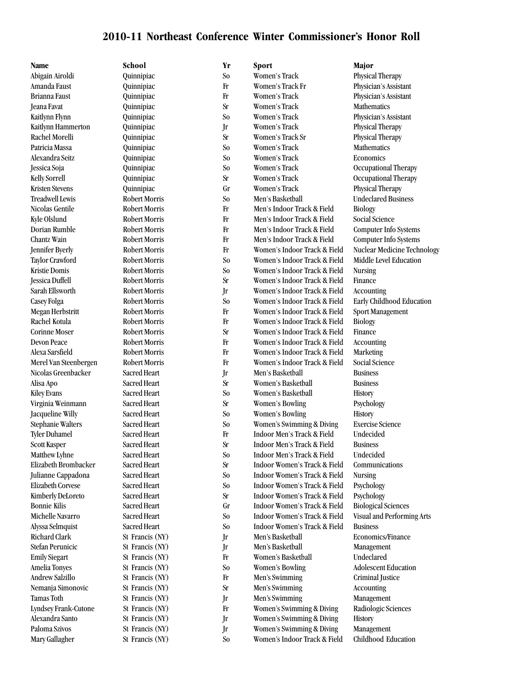### **2010-11 Northeast Conference Winter Commissioner's Honor Roll**

Abigain Airoldi Quinnipiac So Women's Track Physical Therapy

**Name School Yr Sport Major**

Brianna Faust Quinnipiac Fr Women's Track Physician's Assistant Jeana Favat Quinnipiac Sr Women's Track Mathematics Kaitlynn Flynn Quinnipiac So Women's Track Physician's Assistant Kaitlynn Hammerton Quinnipiac Jr Women's Track Physical Therapy Rachel Morelli Quinnipiac Sr Women's Track Sr Physical Therapy Patricia Massa Quinnipiac So Women's Track Mathematics Alexandra Seitz Quinnipiac So Women's Track Economics Jessica Soja Quinnipiac So Women's Track Occupational Therapy Kelly Sorrell **Example 20** Quinnipiac Sr Sr Women's Track Occupational Therapy Kristen Stevens Quinnipiac Gr Women's Track Physical Therapy Treadwell Lewis **Robert Morris** So Men's Basketball Undeclared Business Nicolas Gentile **Robert Morris** Frack & Field Biology **Frack & Field** Biology Kyle Olslund Robert Morris Frack & Field Social Science Dorian Rumble Robert Morris Fr Men's Indoor Track & Field Computer Info Systems Chantz Wain Robert Morris Fr Men's Indoor Track & Field Computer Info Systems Jennifer Byerly Robert Morris Fr Women's Indoor Track & Field Nuclear Medicine Technology Taylor Crawford Robert Morris So Women's Indoor Track & Field Middle Level Education Kristie Domis Robert Morris So Women's Indoor Track & Field Nursing Jessica Duffell Robert Morris Sr Women's Indoor Track & Field Finance Sarah Ellsworth Robert Morris Jr Women's Indoor Track & Field Accounting Casey Folga Robert Morris So Women's Indoor Track & Field Early Childhood Education Megan Herbstritt Robert Morris Fr Women's Indoor Track & Field Sport Management Rachel Kotula **Robert Morris** Fr Women's Indoor Track & Field Biology Corinne Moser Robert Morris Sr Women's Indoor Track & Field Finance Devon Peace Robert Morris Fr Women's Indoor Track & Field Accounting Alexa Sarsfield Robert Morris Fr Women's Indoor Track & Field Marketing Merel Van Steenbergen Robert Morris Fr Women's Indoor Track & Field Social Science Nicolas Greenbacker Sacred Heart Jr Men's Basketball Business Alisa Apo Sacred Heart Sr Women's Basketball Business Kiley Evans Sacred Heart So Women's Basketball History Virginia Weinmann Sacred Heart Sr Women's Bowling Psychology Jacqueline Willy Sacred Heart So Women's Bowling History Stephanie Walters Sacred Heart So Women's Swimming & Diving Exercise Science Tyler Duhamel Sacred Heart Fr Indoor Men's Track & Field Undecided Scott Kasper Sacred Heart Sr Indoor Men's Track & Field Business Matthew Lyhne Sacred Heart So Indoor Men's Track & Field Undecided Elizabeth Brombacker Sacred Heart Sr Indoor Women's Track & Field Communications Julianne Cappadona Sacred Heart So Indoor Women's Track & Field Nursing Elizabeth Corvese Sacred Heart So Indoor Women's Track & Field Psychology Kimberly DeLoreto Sacred Heart Sr Indoor Women's Track & Field Psychology Bonnie Kilis Sacred Heart Gr Indoor Women's Track & Field Biological Sciences Michelle Navarro Sacred Heart So Indoor Women's Track & Field Visual and Performing Arts Alyssa Selmquist Sacred Heart So Indoor Women's Track & Field Business Richard Clark St Francis (NY) Jr Men's Basketball Boothers/Finance Stefan Perunicic St Francis (NY) Jr Men's Basketball Management Emily Siegart St Francis (NY) Fr Women's Basketball Undeclared Amelia Tonyes St Francis (NY) So Women's Bowling Adolescent Education Andrew Salzillo St Francis (NY) Fr Men's Swimming Criminal Justice Nemanja Simonovic St Francis (NY) Sr Men's Swimming Accounting Tamas Toth St Francis (NY) Jr Men's Swimming Management Lyndsey Frank-Cutone St Francis (NY) Fr Women's Swimming & Diving Radiologic Sciences Alexandra Santo St Francis (NY) Jr Women's Swimming & Diving History Paloma Szivos St Francis (NY) Jr Women's Swimming & Diving Management Mary Gallagher St Francis (NY) So Women's Indoor Track & Field Childhood Education

Amanda Faust Quinnipiac Fr Women's Track Fr Physician's Assistant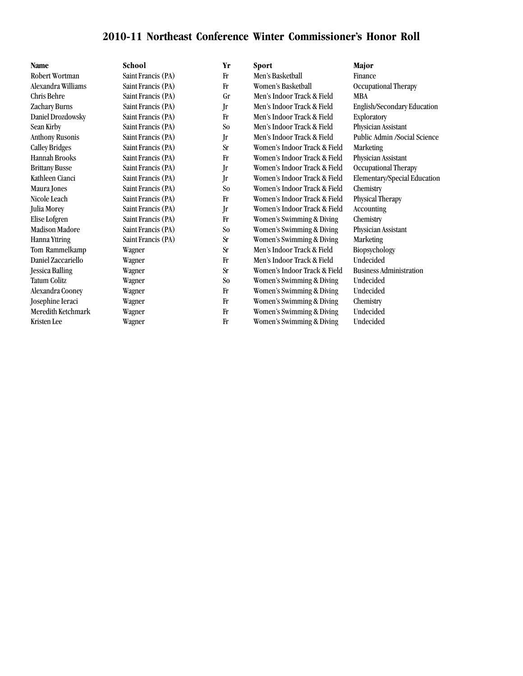## **2010-11 Northeast Conference Winter Commissioner's Honor Roll**

| <b>Name</b>            | School             | Yr             | <b>Sport</b>                 | Major                          |
|------------------------|--------------------|----------------|------------------------------|--------------------------------|
| Robert Wortman         | Saint Francis (PA) | Fr             | Men's Basketball             | Finance                        |
| Alexandra Williams     | Saint Francis (PA) | Fr             | Women's Basketball           | Occupational Therapy           |
| Chris Behre            | Saint Francis (PA) | Gr             | Men's Indoor Track & Field   | <b>MBA</b>                     |
| Zachary Burns          | Saint Francis (PA) | Jr             | Men's Indoor Track & Field   | English/Secondary Education    |
| Daniel Drozdowsky      | Saint Francis (PA) | Fr             | Men's Indoor Track & Field   | Exploratory                    |
| Sean Kirby             | Saint Francis (PA) | S <sub>o</sub> | Men's Indoor Track & Field   | Physician Assistant            |
| <b>Anthony Rusonis</b> | Saint Francis (PA) | Jr             | Men's Indoor Track & Field   | Public Admin /Social Science   |
| <b>Calley Bridges</b>  | Saint Francis (PA) | <b>Sr</b>      | Women's Indoor Track & Field | <b>Marketing</b>               |
| <b>Hannah Brooks</b>   | Saint Francis (PA) | $_{\rm Fr}$    | Women's Indoor Track & Field | Physician Assistant            |
| <b>Brittany Busse</b>  | Saint Francis (PA) | Jr             | Women's Indoor Track & Field | Occupational Therapy           |
| Kathleen Cianci        | Saint Francis (PA) | Jr             | Women's Indoor Track & Field | Elementary/Special Education   |
| Maura Jones            | Saint Francis (PA) | S <sub>o</sub> | Women's Indoor Track & Field | Chemistry                      |
| Nicole Leach           | Saint Francis (PA) | Fr             | Women's Indoor Track & Field | Physical Therapy               |
| Julia Morey            | Saint Francis (PA) | Jr             | Women's Indoor Track & Field | Accounting                     |
| Elise Lofgren          | Saint Francis (PA) | Fr             | Women's Swimming & Diving    | Chemistry                      |
| <b>Madison Madore</b>  | Saint Francis (PA) | S <sub>o</sub> | Women's Swimming & Diving    | Physician Assistant            |
| Hanna Yttring          | Saint Francis (PA) | <b>Sr</b>      | Women's Swimming & Diving    | <b>Marketing</b>               |
| Tom Rammelkamp         | Wagner             | <b>Sr</b>      | Men's Indoor Track & Field   | Biopsychology                  |
| Daniel Zaccariello     | Wagner             | $_{\rm Fr}$    | Men's Indoor Track & Field   | Undecided                      |
| <b>Jessica Balling</b> | Wagner             | <b>Sr</b>      | Women's Indoor Track & Field | <b>Business Administration</b> |
| <b>Tatum Colitz</b>    | Wagner             | S <sub>o</sub> | Women's Swimming & Diving    | Undecided                      |
| Alexandra Cooney       | Wagner             | Fr             | Women's Swimming & Diving    | Undecided                      |
| Josephine Ieraci       | Wagner             | $_{\rm Fr}$    | Women's Swimming & Diving    | Chemistry                      |
| Meredith Ketchmark     | Wagner             | Fr             | Women's Swimming & Diving    | Undecided                      |
| Kristen Lee            | Wagner             | Fr             | Women's Swimming & Diving    | Undecided                      |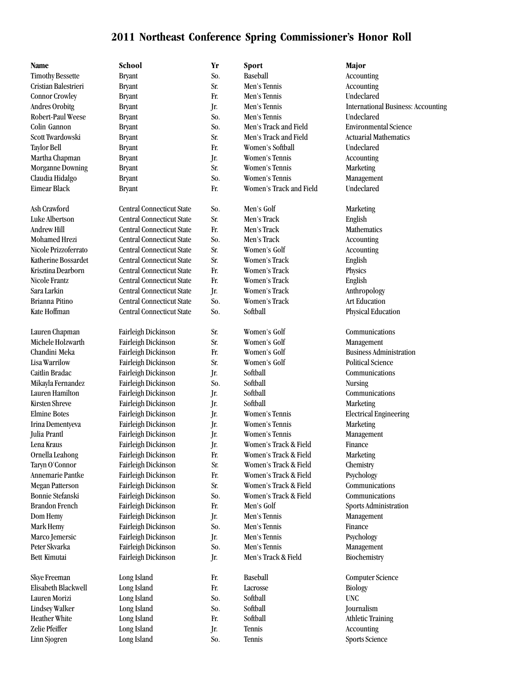Linn Sjogren Long Island So. Tennis Sports Science

| Name                    | School                           | Yr  | <b>Sport</b>             | Major                          |
|-------------------------|----------------------------------|-----|--------------------------|--------------------------------|
| <b>Timothy Bessette</b> | <b>Bryant</b>                    | So. | Baseball                 | Accounting                     |
| Cristian Balestrieri    | <b>Bryant</b>                    | Sr. | Men's Tennis             | Accounting                     |
| <b>Connor Crowley</b>   | <b>Bryant</b>                    | Fr. | Men's Tennis             | Undeclared                     |
| <b>Andres Orobitg</b>   | <b>Bryant</b>                    | Jr. | Men's Tennis             | International Business: /      |
| Robert-Paul Weese       | <b>Bryant</b>                    | So. | Men's Tennis             | Undeclared                     |
| Colin Gannon            | <b>Bryant</b>                    | So. | Men's Track and Field    | <b>Environmental Science</b>   |
| Scott Twardowski        | <b>Bryant</b>                    | Sr. | Men's Track and Field    | <b>Actuarial Mathematics</b>   |
| Taylor Bell             | <b>Bryant</b>                    | Fr. | Women's Softball         | Undeclared                     |
| Martha Chapman          | <b>Bryant</b>                    | Jr. | Women's Tennis           | Accounting                     |
| <b>Morganne Downing</b> | <b>Bryant</b>                    | Sr. | Women's Tennis           | Marketing                      |
| Claudia Hidalgo         | <b>Bryant</b>                    | So. | <b>Women's Tennis</b>    | Management                     |
| <b>Eimear Black</b>     | <b>Bryant</b>                    | Fr. | Women's Track and Field  | Undeclared                     |
| Ash Crawford            | <b>Central Connecticut State</b> | So. | Men's Golf               | Marketing                      |
| Luke Albertson          | <b>Central Connecticut State</b> | Sr. | Men's Track              | English                        |
| <b>Andrew Hill</b>      | <b>Central Connecticut State</b> | Fr. | Men's Track              | <b>Mathematics</b>             |
| <b>Mohamed Hrezi</b>    | <b>Central Connecticut State</b> | So. | Men's Track              | Accounting                     |
| Nicole Prizzoferrato    | <b>Central Connecticut State</b> | Sr. | Women's Golf             | Accounting                     |
| Katherine Bossardet     | <b>Central Connecticut State</b> | Sr. | Women's Track            | English                        |
| Krisztina Dearborn      | <b>Central Connecticut State</b> | Fr. | Women's Track            | Physics                        |
| Nicole Frantz           | <b>Central Connecticut State</b> | Fr. | Women's Track            | English                        |
| Sara Larkin             | <b>Central Connecticut State</b> | Jr. | Women's Track            | Anthropology                   |
| <b>Brianna Pitino</b>   | <b>Central Connecticut State</b> | So. | Women's Track            | <b>Art Education</b>           |
| Kate Hoffman            | <b>Central Connecticut State</b> | So. | Softball                 | Physical Education             |
| Lauren Chapman          | Fairleigh Dickinson              | Sr. | Women's Golf             | Communications                 |
| Michele Holzwarth       | Fairleigh Dickinson              | Sr. | Women's Golf             | Management                     |
| Chandini Meka           | Fairleigh Dickinson              | Fr. | Women's Golf             | <b>Business Administration</b> |
| Lisa Warrilow           | Fairleigh Dickinson              | Sr. | Women's Golf             | <b>Political Science</b>       |
| Caitlin Bradac          | Fairleigh Dickinson              | Jr. | Softball                 | Communications                 |
| Mikayla Fernandez       | Fairleigh Dickinson              | So. | Softball                 | <b>Nursing</b>                 |
| Lauren Hamilton         | Fairleigh Dickinson              | Jr. | Softball                 | Communications                 |
| <b>Kirsten Shreve</b>   | Fairleigh Dickinson              | Jr. | Softball                 | Marketing                      |
| <b>Elmine Botes</b>     | Fairleigh Dickinson              | Jr. | Women's Tennis           | <b>Electrical Engineering</b>  |
| Irina Dementyeva        | Fairleigh Dickinson              | Jr. | Women's Tennis           | Marketing                      |
| Julia Prantl            | Fairleigh Dickinson              | Jr. | Women's Tennis           | Management                     |
| Lena Kraus              | Fairleigh Dickinson              | Jr. | Women's Track & Field    | Finance                        |
| Ornella Leahong         | Fairleigh Dickinson              | Fr. | Women's Track & Field    | Marketing                      |
| Taryn O'Connor          | Fairleigh Dickinson              | Sr. | Women's Track & Field    | Chemistry                      |
| <b>Annemarie Pantke</b> | Fairleigh Dickinson              | Fr. | Women's Track & Field    | Psychology                     |
| <b>Megan Patterson</b>  | Fairleigh Dickinson              | Sr. | Women's Track & Field    | Communications                 |
| Bonnie Stefanski        | Fairleigh Dickinson              | So. | Women's Track & Field    | Communications                 |
| <b>Brandon French</b>   | Fairleigh Dickinson              | Fr. | Men's Golf               | Sports Administration          |
| Dom Hemy                | Fairleigh Dickinson              | Jr. | Men's Tennis             | Management                     |
| Mark Hemy               | Fairleigh Dickinson              | So. | Men's Tennis             | Finance                        |
| Marco Jemersic          | Fairleigh Dickinson              | Jr. | Men's Tennis             | Psychology                     |
| Peter Skvarka           | Fairleigh Dickinson              | So. | Men's Tennis             | Management                     |
| Bett Kimutai            | Fairleigh Dickinson              | Jr. | Men's Track & Field      | Biochemistry                   |
| Skye Freeman            | Long Island                      | Fr. | Baseball                 | <b>Computer Science</b>        |
| Elisabeth Blackwell     | Long Island                      | Fr. | Lacrosse                 | <b>Biology</b>                 |
| Lauren Morizi           | Long Island                      | So. | Softball                 | <b>UNC</b>                     |
| Lindsey Walker          | Long Island                      | So. | Softball                 | Journalism                     |
| <b>Heather White</b>    | Long Island                      | Fr. | Softball                 | <b>Athletic Training</b>       |
| Zelie Pfeiffer          | Long Island                      | Jr. | Tennis                   | Accounting                     |
| Line                    | Long Laland                      | e,  | $T_{\alpha\alpha\alpha}$ | Canato Coingeo                 |

Andres Orobitg Bryant Bryant Jr. Men's Tennis International Business: Accounting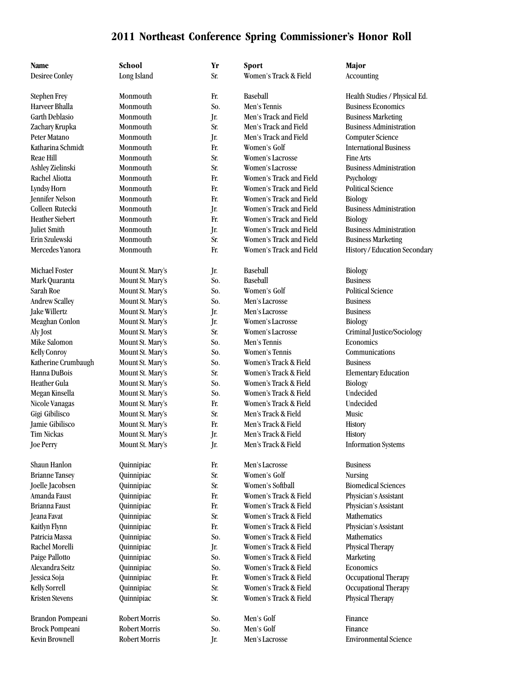| Name                   | School               | Yr  | Sport                   | Major                          |
|------------------------|----------------------|-----|-------------------------|--------------------------------|
| <b>Desiree Conley</b>  | Long Island          | Sr. | Women's Track & Field   | Accounting                     |
|                        |                      |     |                         |                                |
| <b>Stephen Frey</b>    | Monmouth             | Fr. | Baseball                | Health Studies / Physical Ed.  |
| Harveer Bhalla         | Monmouth             | So. | Men's Tennis            | <b>Business Economics</b>      |
| <b>Garth Deblasio</b>  | Monmouth             | Jr. | Men's Track and Field   | <b>Business Marketing</b>      |
| Zachary Krupka         | Monmouth             | Sr. | Men's Track and Field   | <b>Business Administration</b> |
| Peter Matano           | Monmouth             | Jr. | Men's Track and Field   | <b>Computer Science</b>        |
| Katharina Schmidt      | Monmouth             | Fr. | Women's Golf            | <b>International Business</b>  |
| <b>Reae Hill</b>       | Monmouth             | Sr. | Women's Lacrosse        | <b>Fine Arts</b>               |
| Ashley Zielinski       | Monmouth             | Sr. | Women's Lacrosse        | <b>Business Administration</b> |
| Rachel Aliotta         | Monmouth             | Fr. | Women's Track and Field | Psychology                     |
| Lyndsy Horn            | Monmouth             | Fr. | Women's Track and Field | <b>Political Science</b>       |
| Jennifer Nelson        | Monmouth             | Fr. | Women's Track and Field | <b>Biology</b>                 |
| Colleen Rutecki        | Monmouth             | Jr. | Women's Track and Field | <b>Business Administration</b> |
| <b>Heather Siebert</b> | Monmouth             | Fr. | Women's Track and Field | <b>Biology</b>                 |
| Juliet Smith           | Monmouth             | Jr. | Women's Track and Field | <b>Business Administration</b> |
| Erin Szulewski         | Monmouth             | Sr. | Women's Track and Field | <b>Business Marketing</b>      |
| Mercedes Yanora        | Monmouth             | Fr. | Women's Track and Field | History / Education Secondary  |
| Michael Foster         | Mount St. Mary's     | Jr. | Baseball                | Biology                        |
| Mark Quaranta          | Mount St. Mary's     | So. | Baseball                | <b>Business</b>                |
| Sarah Roe              | Mount St. Mary's     | So. | Women's Golf            | <b>Political Science</b>       |
| Andrew Scalley         | Mount St. Mary's     | So. | Men's Lacrosse          | <b>Business</b>                |
| <b>Jake Willertz</b>   | Mount St. Mary's     | Jr. | Men's Lacrosse          | <b>Business</b>                |
| Meaghan Conlon         | Mount St. Mary's     | Jr. | Women's Lacrosse        | Biology                        |
| Aly Jost               | Mount St. Mary's     | Sr. | Women's Lacrosse        | Criminal Justice/Sociology     |
| Mike Salomon           | Mount St. Mary's     | So. | Men's Tennis            | Economics                      |
| <b>Kelly Conroy</b>    | Mount St. Mary's     | So. | Women's Tennis          | Communications                 |
| Katherine Crumbaugh    | Mount St. Mary's     | So. | Women's Track & Field   | <b>Business</b>                |
| Hanna DuBois           | Mount St. Mary's     | Sr. | Women's Track & Field   | <b>Elementary Education</b>    |
| Heather Gula           | Mount St. Mary's     | So. | Women's Track & Field   | Biology                        |
| Megan Kinsella         | Mount St. Mary's     | So. | Women's Track & Field   | Undecided                      |
| Nicole Vanagas         | Mount St. Mary's     | Fr. | Women's Track & Field   | Undecided                      |
| Gigi Gibilisco         | Mount St. Mary's     | Sr. | Men's Track & Field     | Music                          |
| Jamie Gibilisco        | Mount St. Mary's     | Fr. | Men's Track & Field     | History                        |
| Tim Nickas             | Mount St. Mary's     | Jr. | Men's Track & Field     | <b>History</b>                 |
| <b>Joe Perry</b>       |                      | Jr. | Men's Track & Field     |                                |
|                        | Mount St. Mary's     |     |                         | <b>Information Systems</b>     |
| Shaun Hanlon           | Quinnipiac           | Fr. | Men's Lacrosse          | <b>Business</b>                |
| <b>Brianne Tansey</b>  | Quinnipiac           | Sr. | Women's Golf            | <b>Nursing</b>                 |
| Joelle Jacobsen        | Quinnipiac           | Sr. | Women's Softball        | <b>Biomedical Sciences</b>     |
| Amanda Faust           | Quinnipiac           | Fr. | Women's Track & Field   | Physician's Assistant          |
| Brianna Faust          | Quinnipiac           | Fr. | Women's Track & Field   | Physician's Assistant          |
| Jeana Favat            | Quinnipiac           | Sr. | Women's Track & Field   | Mathematics                    |
| Kaitlyn Flynn          | Quinnipiac           | Fr. | Women's Track & Field   | Physician's Assistant          |
| Patricia Massa         | Quinnipiac           | So. | Women's Track & Field   | Mathematics                    |
| Rachel Morelli         | Quinnipiac           | Jr. | Women's Track & Field   | Physical Therapy               |
| Paige Pallotto         | Quinnipiac           | So. | Women's Track & Field   | Marketing                      |
| Alexandra Seitz        | Quinnipiac           | So. | Women's Track & Field   | Economics                      |
| Jessica Soja           | Quinnipiac           | Fr. | Women's Track & Field   | Occupational Therapy           |
| <b>Kelly Sorrell</b>   | Quinnipiac           | Sr. | Women's Track & Field   | Occupational Therapy           |
| <b>Kristen Stevens</b> | Quinnipiac           | Sr. | Women's Track & Field   | Physical Therapy               |
| Brandon Pompeani       | <b>Robert Morris</b> | So. | Men's Golf              | Finance                        |
| <b>Brock Pompeani</b>  | <b>Robert Morris</b> | So. | Men's Golf              | Finance                        |
| <b>Kevin Brownell</b>  | <b>Robert Morris</b> | Jr. | Men's Lacrosse          | <b>Environmental Science</b>   |
|                        |                      |     |                         |                                |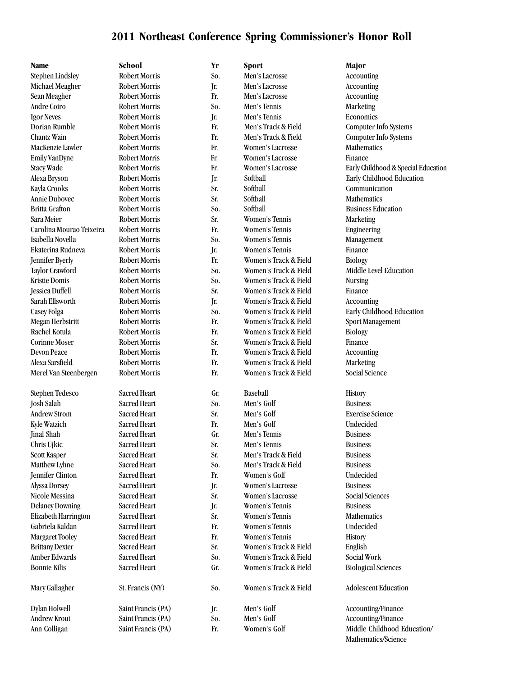**Name School Yr Sport Major**

Stephen Lindsley Robert Morris So. Men's Lacrosse Accounting Michael Meagher Robert Morris Jr. Men's Lacrosse Accounting Sean Meagher Robert Morris Fr. Men's Lacrosse Accounting Andre Coiro Robert Morris So. Men's Tennis Marketing Igor Neves Robert Morris Jr. Men's Tennis Economics Dorian Rumble Robert Morris Fr. Men's Track & Field Computer Info Systems Chantz Wain Robert Morris Fr. Men's Track & Field Computer Info Systems MacKenzie Lawler Robert Morris Fr. Women's Lacrosse Mathematics Emily VanDyne Robert Morris Fr. Women's Lacrosse Finance Kayla Crooks Robert Morris Sr. Softball Communication Annie Dubovec Robert Morris Sr. Softball Mathematics Britta Grafton **Robert Morris** So. Softball Business Education Sara Meier Robert Morris Sr. Women's Tennis Marketing Carolina Mourao Teixeira Robert Morris Fr. Women's Tennis Engineering Isabella Novella Robert Morris So. Women's Tennis Management Ekaterina Rudneva Robert Morris Jr. Women's Tennis Finance Jennifer Byerly Robert Morris Fr. Women's Track & Field Biology Taylor Crawford Robert Morris So. Women's Track & Field Middle Level Education Kristie Domis **Robert Morris** So. Women's Track & Field Nursing Jessica Duffell Robert Morris Sr. Women's Track & Field Finance Sarah Ellsworth Robert Morris Jr. Women's Track & Field Accounting Casey Folga Robert Morris So. Women's Track & Field Early Childhood Education Megan Herbstritt Robert Morris Fr. Women's Track & Field Sport Management Rachel Kotula **Robert Morris** Fr. Women's Track & Field Biology Corinne Moser Robert Morris Sr. Women's Track & Field Finance Devon Peace Robert Morris Fr. Women's Track & Field Accounting Alexa Sarsfield Robert Morris Fr. Women's Track & Field Marketing Merel Van Steenbergen Robert Morris Fr. Women's Track & Field Social Science Stephen Tedesco Sacred Heart Gr. Baseball History Josh Salah Sacred Heart So. Men's Golf Business Andrew Strom Sacred Heart Sr. Men's Golf Exercise Science Kyle Watzich Sacred Heart Fr. Men's Golf Undecided Jinal Shah Sacred Heart Gr. Men's Tennis Business Chris Ujkic Sacred Heart Sr. Men's Tennis Business Scott Kasper Sacred Heart Sr. Men's Track & Field Business Matthew Lyhne Sacred Heart So. Men's Track & Field Business Jennifer Clinton Sacred Heart Fr. Women's Golf Undecided Alyssa Dorsey Sacred Heart Jr. Women's Lacrosse Business Nicole Messina Sacred Heart Sr. Women's Lacrosse Social Sciences Delaney Downing Sacred Heart Jr. Women's Tennis Business Elizabeth Harrington Sacred Heart Sr. Women's Tennis Mathematics Gabriela Kaldan Sacred Heart Fr. Women's Tennis Undecided Margaret Tooley Sacred Heart Fr. Women's Tennis History Brittany Dexter Sacred Heart Sr. Women's Track & Field English Amber Edwards Sacred Heart Social Work Social Work Social Work Bonnie Kilis Sacred Heart Gr. Women's Track & Field Biological Sciences Mary Gallagher St. Francis (NY) So. Women's Track & Field Adolescent Education Dylan Holwell Saint Francis (PA) Jr. Men's Golf Accounting/Finance Andrew Krout Saint Francis (PA) So. Men's Golf Society Accounting/Finance

Stacy Wade Robert Morris Fr. Women's Lacrosse Early Childhood & Special Education Alexa Bryson Robert Morris Jr. Softball Early Childhood Education Ann Colligan Saint Francis (PA) Fr. Women's Golf Middle Childhood Education/

Mathematics/Science